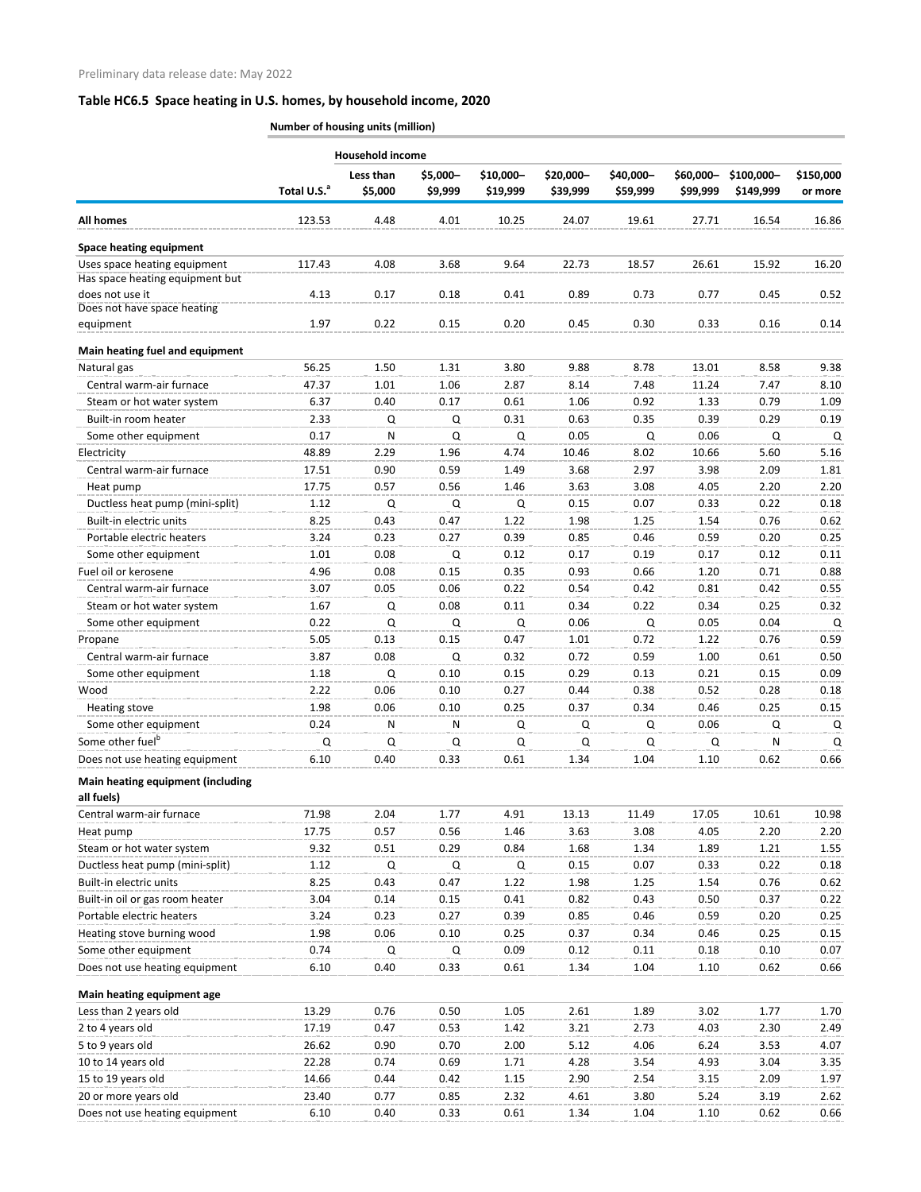|                                                                 | <b>Number of housing units (million)</b> |                      |                     |                       |                       |                       |                       |                         |                      |
|-----------------------------------------------------------------|------------------------------------------|----------------------|---------------------|-----------------------|-----------------------|-----------------------|-----------------------|-------------------------|----------------------|
|                                                                 | <b>Household income</b>                  |                      |                     |                       |                       |                       |                       |                         |                      |
|                                                                 | Total U.S. <sup>a</sup>                  | Less than<br>\$5,000 | \$5,000-<br>\$9,999 | \$10,000-<br>\$19,999 | \$20,000-<br>\$39,999 | \$40,000-<br>\$59,999 | \$60,000-<br>\$99,999 | \$100,000-<br>\$149,999 | \$150,000<br>or more |
| <b>All homes</b>                                                | 123.53                                   | 4.48                 | 4.01                | 10.25                 | 24.07                 | 19.61                 | 27.71                 | 16.54                   | 16.86                |
| <b>Space heating equipment</b>                                  |                                          |                      |                     |                       |                       |                       |                       |                         |                      |
| Uses space heating equipment<br>Has space heating equipment but | 117.43                                   | 4.08                 | 3.68                | 9.64                  | 22.73                 | 18.57                 | 26.61                 | 15.92                   | 16.20                |
| does not use it<br>Does not have space heating                  | 4.13                                     | 0.17                 | 0.18                | 0.41                  | 0.89                  | 0.73                  | 0.77                  | 0.45                    | 0.52                 |
| equipment                                                       | 1.97                                     | 0.22                 | 0.15                | 0.20                  | 0.45                  | 0.30                  | 0.33                  | 0.16                    | 0.14                 |
| Main heating fuel and equipment                                 |                                          |                      |                     |                       |                       |                       |                       |                         |                      |
| Natural gas                                                     | 56.25                                    | 1.50                 | 1.31                | 3.80                  | 9.88                  | 8.78                  | 13.01                 | 8.58                    | 9.38                 |
| Central warm-air furnace                                        | 47.37                                    | 1.01                 | 1.06                | 2.87                  | 8.14                  | 7.48                  | 11.24                 | 7.47                    | 8.10                 |
| Steam or hot water system                                       | 6.37                                     | 0.40                 | 0.17                | 0.61                  | 1.06                  | 0.92                  | 1.33                  | 0.79                    | 1.09                 |
| Built-in room heater                                            | 2.33                                     | Q                    | Q                   | 0.31                  | 0.63                  | 0.35                  | 0.39                  | 0.29                    | 0.19                 |
| Some other equipment                                            | 0.17                                     | N                    | Q                   | Q                     | 0.05                  | Q                     | 0.06                  | Q                       | Q                    |
| Electricity                                                     | 48.89                                    | 2.29                 | 1.96                | 4.74                  | 10.46                 | 8.02                  | 10.66                 | 5.60                    | 5.16                 |
| Central warm-air furnace                                        | 17.51                                    | 0.90                 | 0.59                | 1.49                  | 3.68                  | 2.97                  | 3.98                  | 2.09                    | 1.81                 |
| Heat pump                                                       | 17.75                                    | 0.57                 | 0.56                | 1.46                  | 3.63                  | 3.08                  | 4.05                  | 2.20                    | 2.20                 |
| Ductless heat pump (mini-split)                                 | 1.12                                     | Q                    | Q                   | Q                     | 0.15                  | 0.07                  | 0.33                  | 0.22                    | 0.18                 |
| Built-in electric units                                         | 8.25                                     | 0.43                 | 0.47                | 1.22                  | 1.98                  | 1.25                  | 1.54                  | 0.76                    | 0.62                 |
| Portable electric heaters                                       | 3.24                                     | 0.23                 | 0.27                | 0.39                  | 0.85                  | 0.46                  | 0.59                  | 0.20                    | 0.25                 |
| Some other equipment                                            | 1.01                                     | 0.08                 | Q                   | 0.12                  | 0.17                  | 0.19                  | 0.17                  | 0.12                    | 0.11                 |
| Fuel oil or kerosene                                            | 4.96                                     | 0.08                 | 0.15                | 0.35                  | 0.93                  | 0.66                  | 1.20                  | 0.71                    | 0.88                 |
| Central warm-air furnace                                        | 3.07                                     | 0.05                 | 0.06                | 0.22                  | 0.54                  | 0.42                  | 0.81                  | 0.42                    | 0.55                 |
| Steam or hot water system                                       | 1.67                                     | Q                    | 0.08                | 0.11                  | 0.34                  | 0.22                  | 0.34                  | 0.25                    | 0.32                 |
| Some other equipment                                            | 0.22                                     | Q                    | Q                   | Q                     | 0.06                  | Q                     | 0.05                  | 0.04                    | Q                    |
| Propane                                                         | 5.05                                     | 0.13                 | 0.15                | 0.47                  | 1.01                  | 0.72                  | 1.22                  | 0.76                    | 0.59                 |
| Central warm-air furnace                                        | 3.87                                     | 0.08                 | Q                   | 0.32                  | 0.72                  | 0.59                  | 1.00                  | 0.61                    | 0.50                 |
| Some other equipment                                            | 1.18                                     | Q                    | 0.10                | 0.15                  | 0.29                  | 0.13                  | 0.21                  | 0.15                    | 0.09                 |
| Wood                                                            | 2.22                                     | 0.06                 | 0.10                | 0.27                  | 0.44                  | 0.38                  | 0.52                  | 0.28                    | 0.18                 |
|                                                                 | 1.98                                     | 0.06                 | 0.10                | 0.25                  | 0.37                  | 0.34                  | 0.46                  | 0.25                    | 0.15                 |
| Heating stove                                                   |                                          |                      |                     |                       |                       |                       |                       |                         |                      |
| Some other equipment                                            | 0.24                                     | N                    | Ν                   | Q                     | Q                     | Q                     | 0.06                  | Q                       | Q                    |
| Some other fuel <sup>b</sup>                                    | Q                                        | Q                    | Q                   | Q                     | Q                     | Q                     | Q                     | N                       | Q                    |
| Does not use heating equipment                                  | 6.10                                     | 0.40                 | 0.33                | 0.61                  | 1.34                  | 1.04                  | 1.10                  | 0.62                    | 0.66                 |
| Main heating equipment (including<br>all fuels)                 |                                          |                      |                     |                       |                       |                       |                       |                         |                      |
| Central warm-air furnace                                        | 71.98                                    | 2.04                 | 1.77                | 4.91                  | 13.13                 | 11.49                 | 17.05                 | 10.61                   | 10.98                |
| Heat pump                                                       | 17.75                                    | 0.57                 | 0.56                | 1.46                  | 3.63                  | 3.08                  | 4.05                  | 2.20                    | 2.20                 |
| Steam or hot water system                                       | 9.32                                     | 0.51                 | 0.29                | 0.84                  | 1.68                  | 1.34                  | 1.89                  | 1.21                    | 1.55                 |
| Ductless heat pump (mini-split)                                 | 1.12                                     | Q                    | Q                   | Q                     | 0.15                  | 0.07                  | 0.33                  | 0.22                    | 0.18                 |
| Built-in electric units                                         | 8.25                                     | 0.43                 | 0.47                | 1.22                  | 1.98                  | 1.25                  | 1.54                  | 0.76                    | 0.62                 |
| Built-in oil or gas room heater                                 | 3.04                                     | 0.14                 | 0.15                | 0.41                  | 0.82                  | 0.43                  | 0.50                  | 0.37                    | 0.22                 |
| Portable electric heaters                                       | 3.24                                     | 0.23                 | 0.27                | 0.39                  | 0.85                  | 0.46                  | 0.59                  | 0.20                    | 0.25                 |
| Heating stove burning wood                                      | 1.98                                     | 0.06                 | 0.10                | 0.25                  | 0.37                  | 0.34                  | 0.46                  | 0.25                    | 0.15                 |
| Some other equipment                                            | 0.74                                     | Q                    | Q                   | 0.09                  | 0.12                  | 0.11                  | 0.18                  | 0.10                    | 0.07                 |
|                                                                 |                                          |                      |                     |                       |                       |                       |                       |                         |                      |
| Does not use heating equipment                                  | 6.10                                     | 0.40                 | 0.33                | 0.61                  | 1.34                  | 1.04                  | 1.10                  | 0.62                    | 0.66                 |
| Main heating equipment age                                      |                                          |                      |                     |                       |                       |                       |                       |                         |                      |
| Less than 2 years old                                           | 13.29                                    | 0.76                 | 0.50                | 1.05                  | 2.61                  | 1.89                  | 3.02                  | 1.77                    | 1.70                 |
| 2 to 4 years old                                                | 17.19                                    | 0.47                 | 0.53                | 1.42                  | 3.21                  | 2.73                  | 4.03                  | 2.30                    | 2.49                 |
| 5 to 9 years old                                                | 26.62                                    | 0.90                 | 0.70                | 2.00                  | 5.12                  | 4.06                  | 6.24                  | 3.53                    | 4.07                 |
| 10 to 14 years old                                              | 22.28                                    | 0.74                 | 0.69                | 1.71                  | 4.28                  | 3.54                  | 4.93                  | 3.04                    | 3.35                 |
| 15 to 19 years old                                              | 14.66                                    | 0.44                 | 0.42                | 1.15                  | 2.90                  | 2.54                  | 3.15                  | 2.09                    | 1.97                 |
| 20 or more years old                                            | 23.40                                    | 0.77                 | 0.85                | 2.32                  | 4.61                  | 3.80                  | 5.24                  | 3.19                    | 2.62                 |

Does not use heating equipment 6.10 0.40 0.33 0.61 1.34 1.04 1.10 0.62 0.66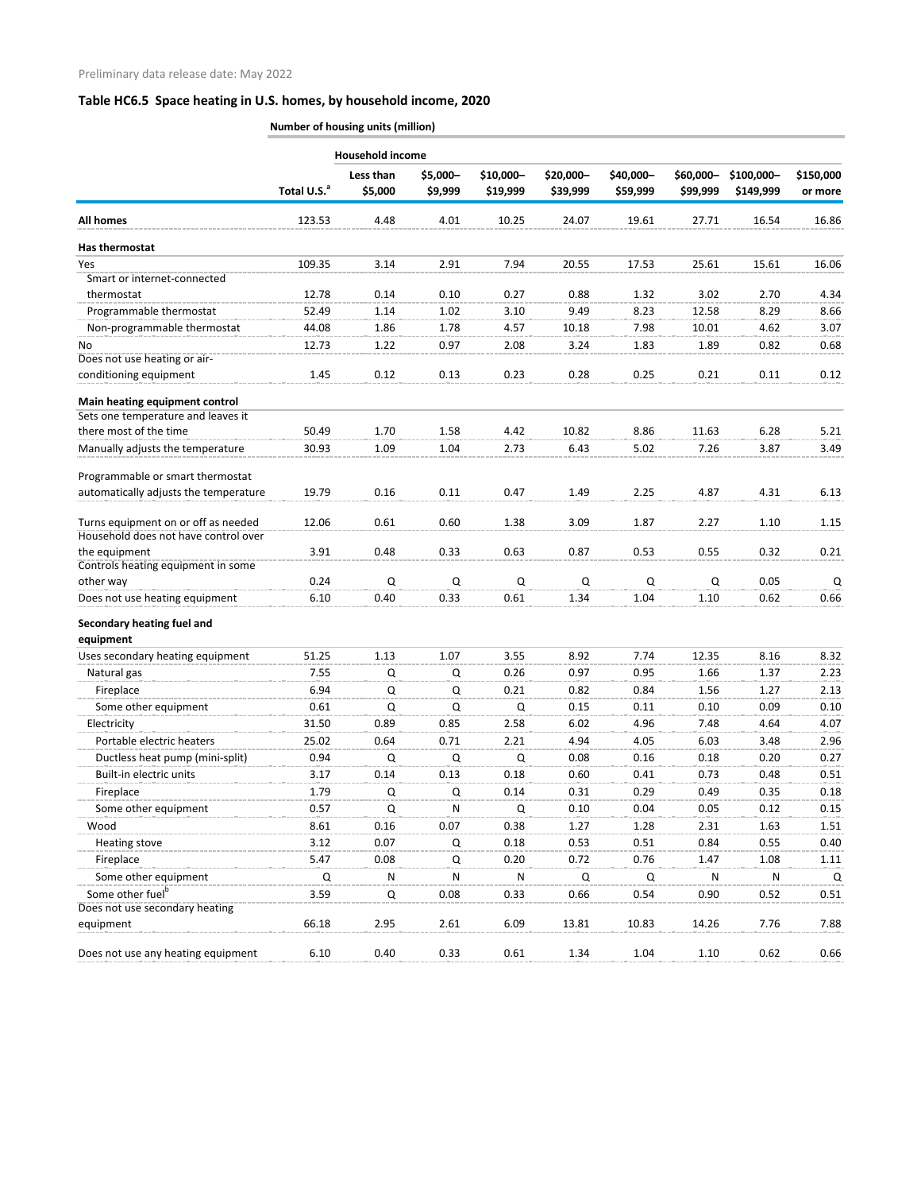|                                                     | Number of housing units (million) |                         |                     |                       |                       |                       |                       |                         |                      |
|-----------------------------------------------------|-----------------------------------|-------------------------|---------------------|-----------------------|-----------------------|-----------------------|-----------------------|-------------------------|----------------------|
|                                                     |                                   | <b>Household income</b> |                     |                       |                       |                       |                       |                         |                      |
|                                                     | Total U.S. <sup>a</sup>           | Less than<br>\$5,000    | \$5,000-<br>\$9,999 | \$10,000-<br>\$19,999 | \$20,000-<br>\$39,999 | \$40,000-<br>\$59,999 | \$60,000-<br>\$99,999 | \$100,000-<br>\$149,999 | \$150,000<br>or more |
| <b>All homes</b>                                    | 123.53                            | 4.48                    | 4.01                | 10.25                 | 24.07                 | 19.61                 | 27.71                 | 16.54                   | 16.86                |
| Has thermostat                                      |                                   |                         |                     |                       |                       |                       |                       |                         |                      |
| Yes                                                 | 109.35                            | 3.14                    | 2.91                | 7.94                  | 20.55                 | 17.53                 | 25.61                 | 15.61                   | 16.06                |
| Smart or internet-connected                         |                                   |                         |                     |                       |                       |                       |                       |                         |                      |
| thermostat                                          | 12.78                             | 0.14                    | 0.10                | 0.27                  | 0.88                  | 1.32                  | 3.02                  | 2.70                    | 4.34                 |
| Programmable thermostat                             | 52.49                             | 1.14                    | 1.02                | 3.10                  | 9.49                  | 8.23                  | 12.58                 | 8.29                    | 8.66                 |
| Non-programmable thermostat                         | 44.08                             | 1.86                    | 1.78                | 4.57                  | 10.18                 | 7.98                  | 10.01                 | 4.62                    | 3.07                 |
| No                                                  | 12.73                             | 1.22                    | 0.97                | 2.08                  | 3.24                  | 1.83                  | 1.89                  | 0.82                    | 0.68                 |
| Does not use heating or air-                        |                                   |                         |                     |                       |                       |                       |                       |                         |                      |
| conditioning equipment                              | 1.45                              | 0.12                    | 0.13                | 0.23                  | 0.28                  | 0.25                  | 0.21                  | 0.11                    | 0.12                 |
| Main heating equipment control                      |                                   |                         |                     |                       |                       |                       |                       |                         |                      |
| Sets one temperature and leaves it                  |                                   |                         |                     |                       |                       |                       |                       |                         |                      |
| there most of the time                              | 50.49                             | 1.70                    | 1.58                | 4.42                  | 10.82                 | 8.86                  | 11.63                 | 6.28                    | 5.21                 |
| Manually adjusts the temperature                    | 30.93                             | 1.09                    | 1.04                | 2.73                  | 6.43                  | 5.02                  | 7.26                  | 3.87                    | 3.49                 |
| Programmable or smart thermostat                    |                                   |                         |                     |                       |                       |                       |                       |                         |                      |
| automatically adjusts the temperature               | 19.79                             | 0.16                    | 0.11                | 0.47                  | 1.49                  | 2.25                  | 4.87                  | 4.31                    | 6.13                 |
| Turns equipment on or off as needed                 | 12.06                             | 0.61                    | 0.60                | 1.38                  | 3.09                  | 1.87                  | 2.27                  | 1.10                    | 1.15                 |
| Household does not have control over                |                                   |                         |                     |                       |                       |                       |                       |                         |                      |
| the equipment<br>Controls heating equipment in some | 3.91                              | 0.48                    | 0.33                | 0.63                  | 0.87                  | 0.53                  | 0.55                  | 0.32                    | 0.21                 |
| other way                                           | 0.24                              | Q                       | Q                   | Q                     | Q                     | Q                     | Q                     | 0.05                    | Q                    |
| Does not use heating equipment                      | 6.10                              | 0.40                    | 0.33                | 0.61                  | 1.34                  | 1.04                  | 1.10                  | 0.62                    | 0.66                 |
| Secondary heating fuel and<br>equipment             |                                   |                         |                     |                       |                       |                       |                       |                         |                      |
| Uses secondary heating equipment                    | 51.25                             | 1.13                    | 1.07                | 3.55                  | 8.92                  | 7.74                  | 12.35                 | 8.16                    | 8.32                 |
| Natural gas                                         | 7.55                              | Q                       | Q                   | 0.26                  | 0.97                  | 0.95                  | 1.66                  | 1.37                    | 2.23                 |
| Fireplace                                           | 6.94                              | Q                       | Q                   | 0.21                  | 0.82                  | 0.84                  | 1.56                  | 1.27                    | 2.13                 |
| Some other equipment                                | 0.61                              | Q                       | Q                   | Q                     | 0.15                  | 0.11                  | 0.10                  | 0.09                    | 0.10                 |
| Electricity                                         | 31.50                             | 0.89                    | 0.85                | 2.58                  | 6.02                  | 4.96                  | 7.48                  | 4.64                    | 4.07                 |
| Portable electric heaters                           | 25.02                             | 0.64                    | 0.71                | 2.21                  | 4.94                  | 4.05                  | 6.03                  | 3.48                    | 2.96                 |
| Ductless heat pump (mini-split)                     | 0.94                              | Q                       | Q                   | Q                     | 0.08                  | 0.16                  | 0.18                  | 0.20                    | 0.27                 |
| Built-in electric units                             | 3.17                              | 0.14                    | 0.13                | 0.18                  | 0.60                  | 0.41                  | 0.73                  | 0.48                    | 0.51                 |
| Fireplace                                           | 1.79                              | Q                       | Q                   | 0.14                  | 0.31                  | 0.29                  | 0.49                  | 0.35                    | 0.18                 |
| Some other equipment                                | 0.57                              | Q                       | N                   | Q                     | 0.10                  | 0.04                  | 0.05                  | 0.12                    | 0.15                 |
| Wood                                                | 8.61                              | 0.16                    | 0.07                | 0.38                  | 1.27                  | 1.28                  | 2.31                  | 1.63                    | 1.51                 |
| <b>Heating stove</b>                                | 3.12                              | 0.07                    | Q                   | 0.18                  | 0.53                  | 0.51                  | 0.84                  | 0.55                    | 0.40                 |
| Fireplace                                           | 5.47                              | 0.08                    | Q                   | 0.20                  | 0.72                  | 0.76                  | 1.47                  | 1.08                    | 1.11                 |
| Some other equipment                                | Q                                 | N                       | N                   | N                     | Q                     | Q                     | N                     | N                       | Q                    |
| Some other fuel <sup>b</sup>                        | 3.59                              | Q                       | 0.08                | 0.33                  | 0.66                  | 0.54                  | 0.90                  | 0.52                    | 0.51                 |
| Does not use secondary heating                      |                                   |                         |                     |                       |                       |                       |                       |                         |                      |
| equipment                                           | 66.18                             | 2.95                    | 2.61                | 6.09                  | 13.81                 | 10.83                 | 14.26                 | 7.76                    | 7.88                 |
| Does not use any heating equipment                  | 6.10                              | 0.40                    | 0.33                | 0.61                  | 1.34                  | 1.04                  | 1.10                  | 0.62                    | 0.66                 |
|                                                     |                                   |                         |                     |                       |                       |                       |                       |                         |                      |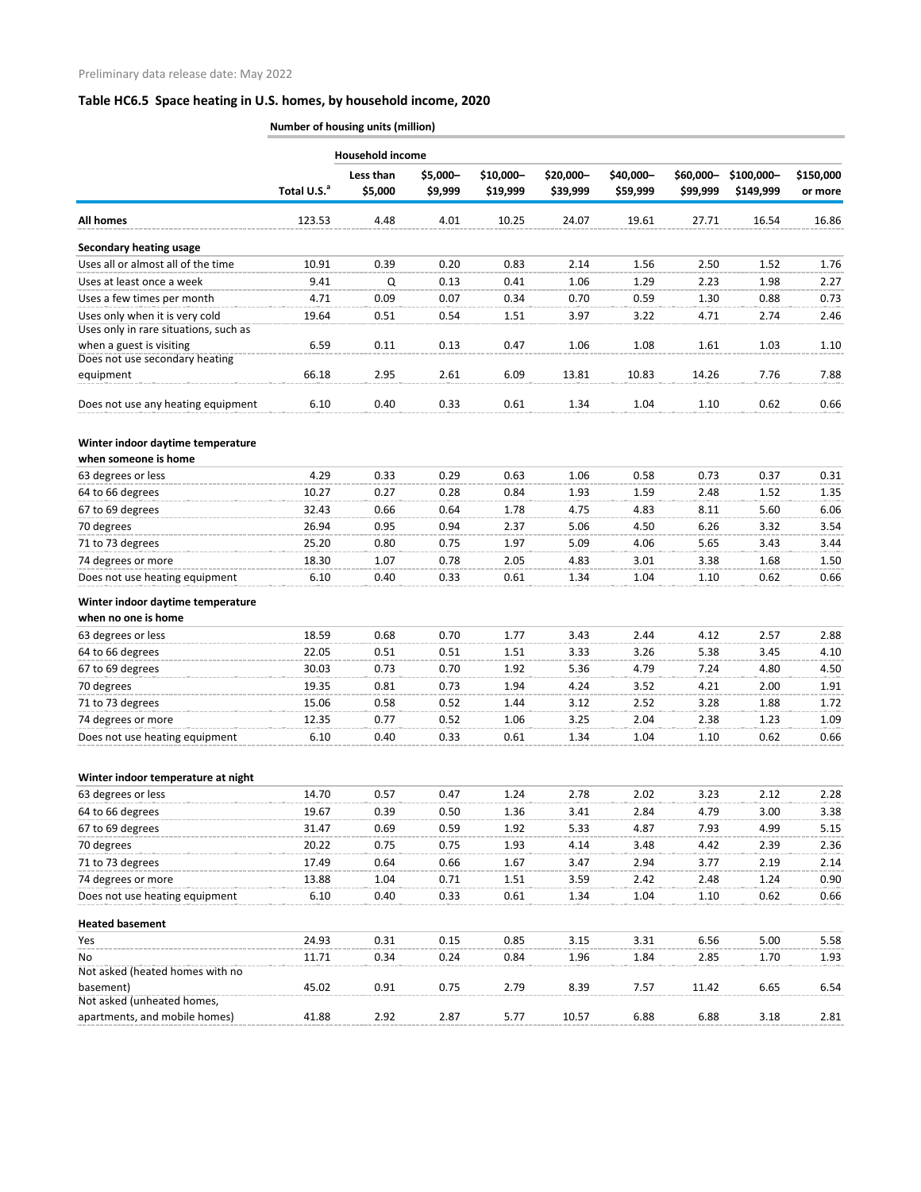|                                                                                                     | Number of housing units (million) |                         |                     |                       |                       |                       |                       |                         |                      |
|-----------------------------------------------------------------------------------------------------|-----------------------------------|-------------------------|---------------------|-----------------------|-----------------------|-----------------------|-----------------------|-------------------------|----------------------|
|                                                                                                     |                                   | <b>Household income</b> |                     |                       |                       |                       |                       |                         |                      |
|                                                                                                     | Total U.S. <sup>a</sup>           | Less than<br>\$5,000    | \$5,000-<br>\$9,999 | \$10,000-<br>\$19,999 | \$20,000-<br>\$39,999 | \$40,000-<br>\$59,999 | \$60,000-<br>\$99,999 | \$100,000-<br>\$149,999 | \$150,000<br>or more |
| <b>All homes</b>                                                                                    | 123.53                            | 4.48                    | 4.01                | 10.25                 | 24.07                 | 19.61                 | 27.71                 | 16.54                   | 16.86                |
| <b>Secondary heating usage</b>                                                                      |                                   |                         |                     |                       |                       |                       |                       |                         |                      |
| Uses all or almost all of the time                                                                  | 10.91                             | 0.39                    | 0.20                | 0.83                  | 2.14                  | 1.56                  | 2.50                  | 1.52                    | 1.76                 |
| Uses at least once a week                                                                           | 9.41                              | Q                       | 0.13                | 0.41                  | 1.06                  | 1.29                  | 2.23                  | 1.98                    | 2.27                 |
| Uses a few times per month                                                                          | 4.71                              | 0.09                    | 0.07                | 0.34                  | 0.70                  | 0.59                  | 1.30                  | 0.88                    | 0.73                 |
| Uses only when it is very cold                                                                      | 19.64                             | 0.51                    | 0.54                | 1.51                  | 3.97                  | 3.22                  | 4.71                  | 2.74                    | 2.46                 |
| Uses only in rare situations, such as<br>when a guest is visiting<br>Does not use secondary heating | 6.59                              | 0.11                    | 0.13                | 0.47                  | 1.06                  | 1.08                  | 1.61                  | 1.03                    | 1.10                 |
| equipment                                                                                           | 66.18                             | 2.95                    | 2.61                | 6.09                  | 13.81                 | 10.83                 | 14.26                 | 7.76                    | 7.88                 |
| Does not use any heating equipment                                                                  | 6.10                              | 0.40                    | 0.33                | 0.61                  | 1.34                  | 1.04                  | 1.10                  | 0.62                    | 0.66                 |
| Winter indoor daytime temperature<br>when someone is home                                           |                                   |                         |                     |                       |                       |                       |                       |                         |                      |
| 63 degrees or less                                                                                  | 4.29                              | 0.33                    | 0.29                | 0.63                  | 1.06                  | 0.58                  | 0.73                  | 0.37                    | 0.31                 |
| 64 to 66 degrees                                                                                    | 10.27                             | 0.27                    | 0.28                | 0.84                  | 1.93                  | 1.59                  | 2.48                  | 1.52                    | 1.35                 |
| 67 to 69 degrees                                                                                    | 32.43                             | 0.66                    | 0.64                | 1.78                  | 4.75                  | 4.83                  | 8.11                  | 5.60                    | 6.06                 |
| 70 degrees                                                                                          | 26.94                             | 0.95                    | 0.94                | 2.37                  | 5.06                  | 4.50                  | 6.26                  | 3.32                    | 3.54                 |
| 71 to 73 degrees                                                                                    | 25.20                             | 0.80                    | 0.75                | 1.97                  | 5.09                  | 4.06                  | 5.65                  | 3.43                    | 3.44                 |
| 74 degrees or more                                                                                  | 18.30                             | 1.07                    | 0.78                | 2.05                  | 4.83                  | 3.01                  | 3.38                  | 1.68                    | 1.50                 |
| Does not use heating equipment                                                                      | 6.10                              | 0.40                    | 0.33                | 0.61                  | 1.34                  | 1.04                  | 1.10                  | 0.62                    | 0.66                 |
| Winter indoor daytime temperature<br>when no one is home                                            |                                   |                         |                     |                       |                       |                       |                       |                         |                      |
| 63 degrees or less                                                                                  | 18.59                             | 0.68                    | 0.70                | 1.77                  | 3.43                  | 2.44                  | 4.12                  | 2.57                    | 2.88                 |
| 64 to 66 degrees                                                                                    | 22.05                             | 0.51                    | 0.51                | 1.51                  | 3.33                  | 3.26                  | 5.38                  | 3.45                    | 4.10                 |
| 67 to 69 degrees                                                                                    | 30.03                             | 0.73                    | 0.70                | 1.92                  | 5.36                  | 4.79                  | 7.24                  | 4.80                    | 4.50                 |
| 70 degrees                                                                                          | 19.35                             | 0.81                    | 0.73                | 1.94                  | 4.24                  | 3.52                  | 4.21                  | 2.00                    | 1.91                 |
| 71 to 73 degrees                                                                                    | 15.06                             | 0.58                    | 0.52                | 1.44                  | 3.12                  | 2.52                  | 3.28                  | 1.88                    | 1.72                 |
| 74 degrees or more                                                                                  | 12.35                             | 0.77                    | 0.52                | 1.06                  | 3.25                  | 2.04                  | 2.38                  | 1.23                    | 1.09                 |
| Does not use heating equipment                                                                      | 6.10                              | 0.40                    | 0.33                | 0.61                  | 1.34                  | 1.04                  | 1.10                  | 0.62                    | 0.66                 |
| Winter indoor temperature at night                                                                  |                                   |                         |                     |                       |                       |                       |                       |                         |                      |
| 63 degrees or less                                                                                  | 14.70                             | 0.57                    | 0.47                | 1.24                  | 2.78                  | 2.02                  | 3.23                  | 2.12                    | 2.28                 |
| 64 to 66 degrees                                                                                    | 19.67                             | 0.39                    | 0.50                | 1.36                  | 3.41                  | 2.84                  | 4.79                  | 3.00                    | 3.38                 |
| 67 to 69 degrees                                                                                    | 31.47                             | 0.69                    | 0.59                | 1.92                  | 5.33                  | 4.87                  | 7.93                  | 4.99                    | 5.15                 |
| 70 degrees                                                                                          | 20.22                             | 0.75                    | 0.75                | 1.93                  | 4.14                  | 3.48                  | 4.42                  | 2.39                    | 2.36                 |
| 71 to 73 degrees                                                                                    | 17.49                             | 0.64                    | 0.66                | 1.67                  | 3.47                  | 2.94                  | 3.77                  | 2.19                    | 2.14                 |
| 74 degrees or more                                                                                  | 13.88                             | 1.04                    | 0.71                | 1.51                  | 3.59                  | 2.42                  | 2.48                  | 1.24                    | 0.90                 |
| Does not use heating equipment                                                                      | 6.10                              | 0.40                    | 0.33                | 0.61                  | 1.34                  | 1.04                  | 1.10                  | 0.62                    | 0.66                 |
| <b>Heated basement</b>                                                                              |                                   |                         |                     |                       |                       |                       |                       |                         |                      |
| Yes                                                                                                 | 24.93                             | 0.31                    | 0.15                | 0.85                  | 3.15                  | 3.31                  | 6.56                  | 5.00                    | 5.58                 |
| No                                                                                                  | 11.71                             | 0.34                    | 0.24                | 0.84                  | 1.96                  | 1.84                  | 2.85                  | 1.70                    | 1.93                 |
| Not asked (heated homes with no                                                                     |                                   |                         |                     |                       |                       |                       |                       |                         |                      |
| basement)<br>Not asked (unheated homes,                                                             | 45.02                             | 0.91                    | 0.75                | 2.79                  | 8.39                  | 7.57                  | 11.42                 | 6.65                    | 6.54                 |
| apartments, and mobile homes)                                                                       | 41.88                             | 2.92                    | 2.87                | 5.77                  | 10.57                 | 6.88                  | 6.88                  | 3.18                    | 2.81                 |
|                                                                                                     |                                   |                         |                     |                       |                       |                       |                       |                         |                      |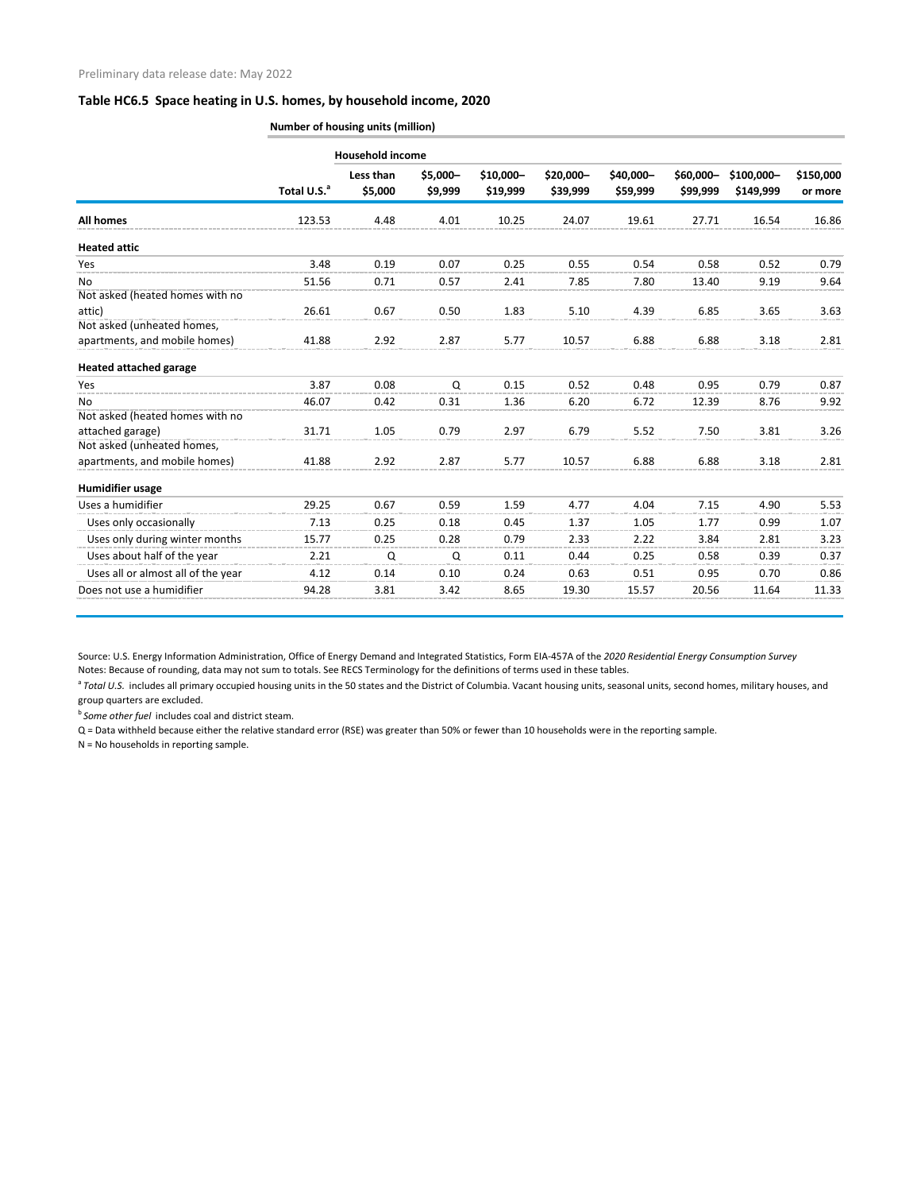|                                    | Number of housing units (million) |                         |                     |                       |                       |                       |                       |                         |                      |
|------------------------------------|-----------------------------------|-------------------------|---------------------|-----------------------|-----------------------|-----------------------|-----------------------|-------------------------|----------------------|
|                                    |                                   | <b>Household income</b> |                     |                       |                       |                       |                       |                         |                      |
|                                    | Total U.S. <sup>a</sup>           | Less than<br>\$5,000    | \$5,000-<br>\$9,999 | \$10,000-<br>\$19,999 | \$20,000-<br>\$39,999 | \$40,000-<br>\$59,999 | \$60,000-<br>\$99,999 | \$100,000-<br>\$149,999 | \$150,000<br>or more |
| All homes                          | 123.53                            | 4.48                    | 4.01                | 10.25                 | 24.07                 | 19.61                 | 27.71                 | 16.54                   | 16.86                |
| <b>Heated attic</b>                |                                   |                         |                     |                       |                       |                       |                       |                         |                      |
| Yes                                | 3.48                              | 0.19                    | 0.07                | 0.25                  | 0.55                  | 0.54                  | 0.58                  | 0.52                    | 0.79                 |
| No                                 | 51.56                             | 0.71                    | 0.57                | 2.41                  | 7.85                  | 7.80                  | 13.40                 | 9.19                    | 9.64                 |
| Not asked (heated homes with no    |                                   |                         |                     |                       |                       |                       |                       |                         |                      |
| attic)                             | 26.61                             | 0.67                    | 0.50                | 1.83                  | 5.10                  | 4.39                  | 6.85                  | 3.65                    | 3.63                 |
| Not asked (unheated homes,         |                                   |                         |                     |                       |                       |                       |                       |                         |                      |
| apartments, and mobile homes)      | 41.88                             | 2.92                    | 2.87                | 5.77                  | 10.57                 | 6.88                  | 6.88                  | 3.18                    | 2.81                 |
| <b>Heated attached garage</b>      |                                   |                         |                     |                       |                       |                       |                       |                         |                      |
| Yes                                | 3.87                              | 0.08                    | Q                   | 0.15                  | 0.52                  | 0.48                  | 0.95                  | 0.79                    | 0.87                 |
| No.                                | 46.07                             | 0.42                    | 0.31                | 1.36                  | 6.20                  | 6.72                  | 12.39                 | 8.76                    | 9.92                 |
| Not asked (heated homes with no    |                                   |                         |                     |                       |                       |                       |                       |                         |                      |
| attached garage)                   | 31.71                             | 1.05                    | 0.79                | 2.97                  | 6.79                  | 5.52                  | 7.50                  | 3.81                    | 3.26                 |
| Not asked (unheated homes,         |                                   |                         |                     |                       |                       |                       |                       |                         |                      |
| apartments, and mobile homes)      | 41.88                             | 2.92                    | 2.87                | 5.77                  | 10.57                 | 6.88                  | 6.88                  | 3.18                    | 2.81                 |
| <b>Humidifier usage</b>            |                                   |                         |                     |                       |                       |                       |                       |                         |                      |
| Uses a humidifier                  | 29.25                             | 0.67                    | 0.59                | 1.59                  | 4.77                  | 4.04                  | 7.15                  | 4.90                    | 5.53                 |
| Uses only occasionally             | 7.13                              | 0.25                    | 0.18                | 0.45                  | 1.37                  | 1.05                  | 1.77                  | 0.99                    | 1.07                 |
| Uses only during winter months     | 15.77                             | 0.25                    | 0.28                | 0.79                  | 2.33                  | 2.22                  | 3.84                  | 2.81                    | 3.23                 |
| Uses about half of the year        | 2.21                              | Q                       | Q                   | 0.11                  | 0.44                  | 0.25                  | 0.58                  | 0.39                    | 0.37                 |
| Uses all or almost all of the year | 4.12                              | 0.14                    | 0.10                | 0.24                  | 0.63                  | 0.51                  | 0.95                  | 0.70                    | 0.86                 |
| Does not use a humidifier          | 94.28                             | 3.81                    | 3.42                | 8.65                  | 19.30                 | 15.57                 | 20.56                 | 11.64                   | 11.33                |

Source: U.S. Energy Information Administration, Office of Energy Demand and Integrated Statistics, Form EIA-457A of the *2020 Residential Energy Consumption Survey* Notes: Because of rounding, data may not sum to totals. See RECS Terminology for the definitions of terms used in these tables.

<sup>a</sup> Total U.S. includes all primary occupied housing units in the 50 states and the District of Columbia. Vacant housing units, seasonal units, second homes, military houses, and group quarters are excluded.

<sup>b</sup>*Some other fuel* includes coal and district steam.

Q = Data withheld because either the relative standard error (RSE) was greater than 50% or fewer than 10 households were in the reporting sample.

N = No households in reporting sample.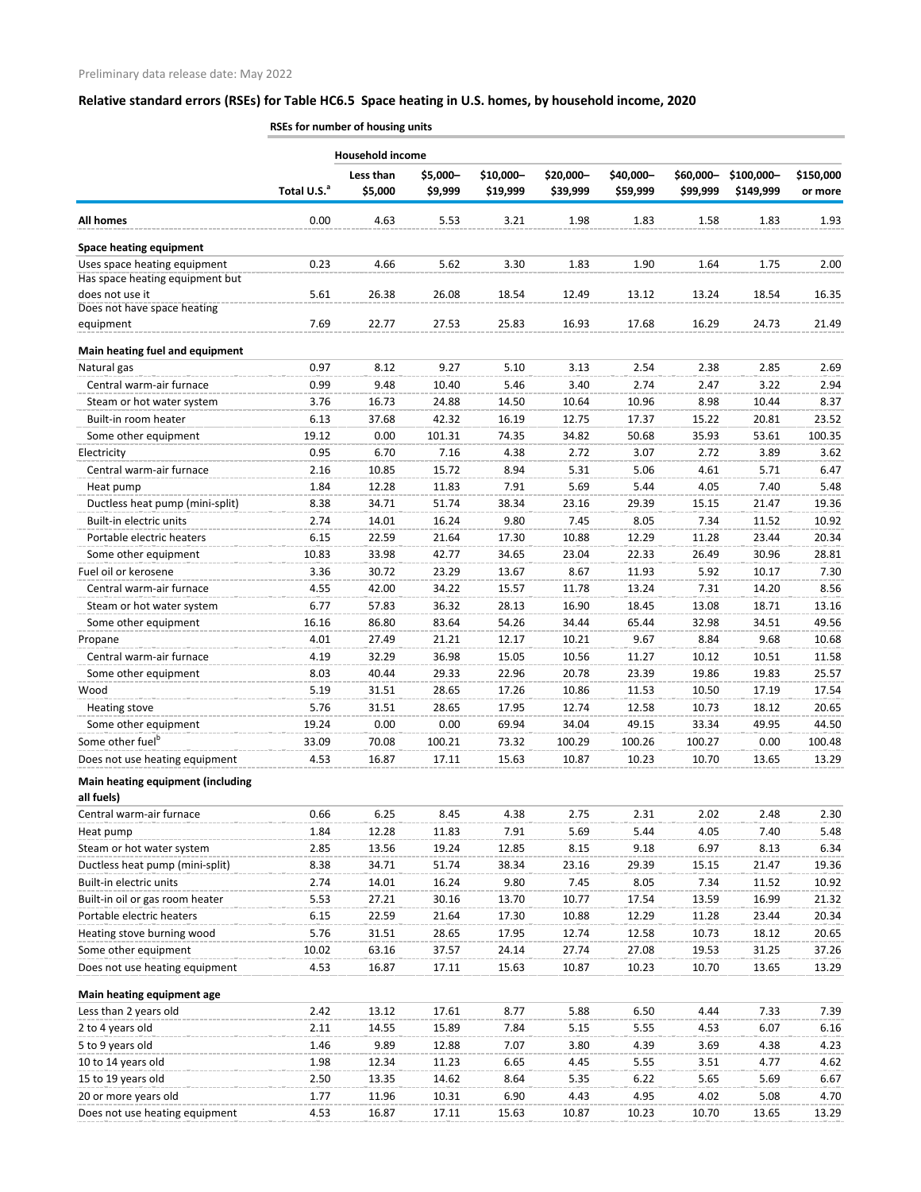|                                                                 | RSEs for number of housing units |                         |                |                |                |                |                |            |                |
|-----------------------------------------------------------------|----------------------------------|-------------------------|----------------|----------------|----------------|----------------|----------------|------------|----------------|
|                                                                 |                                  | <b>Household income</b> |                |                |                |                |                |            |                |
|                                                                 | Total U.S. <sup>a</sup>          | Less than               | \$5,000-       | \$10,000-      | \$20,000-      | \$40,000-      | \$60,000-      | \$100,000- | \$150,000      |
|                                                                 |                                  | \$5,000                 | \$9,999        | \$19,999       | \$39,999       | \$59,999       | \$99,999       | \$149,999  | or more        |
| <b>All homes</b>                                                | 0.00                             | 4.63                    | 5.53           | 3.21           | 1.98           | 1.83           | 1.58           | 1.83       | 1.93           |
| <b>Space heating equipment</b>                                  |                                  |                         |                |                |                |                |                |            |                |
| Uses space heating equipment<br>Has space heating equipment but | 0.23                             | 4.66                    | 5.62           | 3.30           | 1.83           | 1.90           | 1.64           | 1.75       | 2.00           |
| does not use it<br>Does not have space heating                  | 5.61                             | 26.38                   | 26.08          | 18.54          | 12.49          | 13.12          | 13.24          | 18.54      | 16.35          |
| equipment                                                       | 7.69                             | 22.77                   | 27.53          | 25.83          | 16.93          | 17.68          | 16.29          | 24.73      | 21.49          |
| Main heating fuel and equipment                                 |                                  |                         |                |                |                |                |                |            |                |
| Natural gas                                                     | 0.97                             | 8.12                    | 9.27           | 5.10           | 3.13           | 2.54           | 2.38           | 2.85       | 2.69           |
| Central warm-air furnace                                        | 0.99                             | 9.48                    | 10.40          | 5.46           | 3.40           | 2.74           | 2.47           | 3.22       | 2.94           |
| Steam or hot water system                                       | 3.76                             | 16.73                   | 24.88          | 14.50          | 10.64          | 10.96          | 8.98           | 10.44      | 8.37           |
| Built-in room heater                                            | 6.13                             | 37.68                   | 42.32          | 16.19          | 12.75          | 17.37          | 15.22          | 20.81      | 23.52          |
| Some other equipment                                            | 19.12                            | 0.00                    | 101.31         | 74.35          | 34.82          | 50.68          | 35.93          | 53.61      | 100.35         |
| Electricity                                                     | 0.95                             | 6.70                    | 7.16           | 4.38           | 2.72           | 3.07           | 2.72           | 3.89       | 3.62           |
| Central warm-air furnace                                        | 2.16                             | 10.85                   | 15.72          | 8.94           | 5.31           | 5.06           | 4.61           | 5.71       | 6.47           |
| Heat pump                                                       | 1.84                             | 12.28                   | 11.83          | 7.91           | 5.69           | 5.44           | 4.05           | 7.40       | 5.48           |
| Ductless heat pump (mini-split)                                 | 8.38                             | 34.71                   | 51.74          | 38.34          | 23.16          | 29.39          | 15.15          | 21.47      | 19.36          |
| Built-in electric units                                         | 2.74                             | 14.01                   | 16.24          | 9.80           | 7.45           | 8.05           | 7.34           | 11.52      | 10.92          |
| Portable electric heaters                                       | 6.15                             | 22.59                   | 21.64          | 17.30          | 10.88          | 12.29          | 11.28          | 23.44      | 20.34          |
| Some other equipment                                            | 10.83                            | 33.98                   | 42.77          | 34.65          | 23.04          | 22.33          | 26.49          | 30.96      | 28.81          |
| Fuel oil or kerosene                                            | 3.36                             | 30.72                   | 23.29          | 13.67          | 8.67           | 11.93          | 5.92           | 10.17      | 7.30           |
| Central warm-air furnace                                        | 4.55                             | 42.00                   | 34.22          | 15.57          | 11.78          | 13.24          | 7.31           | 14.20      | 8.56           |
|                                                                 | 6.77                             | 57.83                   |                |                |                |                |                | 18.71      |                |
| Steam or hot water system<br>Some other equipment               |                                  | 86.80                   | 36.32<br>83.64 | 28.13<br>54.26 | 16.90<br>34.44 | 18.45<br>65.44 | 13.08<br>32.98 | 34.51      | 13.16<br>49.56 |
|                                                                 | 16.16                            |                         |                |                |                |                |                |            |                |
| Propane                                                         | 4.01                             | 27.49<br>32.29          | 21.21<br>36.98 | 12.17          | 10.21<br>10.56 | 9.67<br>11.27  | 8.84<br>10.12  | 9.68       | 10.68          |
| Central warm-air furnace                                        | 4.19                             |                         |                | 15.05          |                |                |                | 10.51      | 11.58          |
| Some other equipment                                            | 8.03                             | 40.44                   | 29.33          | 22.96          | 20.78          | 23.39          | 19.86          | 19.83      | 25.57          |
| Wood                                                            | 5.19                             | 31.51                   | 28.65          | 17.26          | 10.86          | 11.53          | 10.50          | 17.19      | 17.54          |
| Heating stove                                                   | 5.76                             | 31.51                   | 28.65          | 17.95          | 12.74          | 12.58          | 10.73          | 18.12      | 20.65          |
| Some other equipment                                            | 19.24                            | 0.00                    | 0.00           | 69.94          | 34.04          | 49.15          | 33.34          | 49.95      | 44.50          |
| Some other fuel <sup>b</sup>                                    | 33.09                            | 70.08                   | 100.21         | 73.32          | 100.29         | 100.26         | 100.27         | 0.00       | 100.48         |
| Does not use heating equipment                                  | 4.53                             | 16.87                   | 17.11          | 15.63          | 10.87          | 10.23          | 10.70          | 13.65      | 13.29          |
| <b>Main heating equipment (including</b>                        |                                  |                         |                |                |                |                |                |            |                |
| all fuels)                                                      |                                  |                         |                |                |                |                |                |            |                |
| Central warm-air furnace                                        | 0.66                             | 6.25                    | 8.45           | 4.38           | 2.75           | 2.31           | 2.02           | 2.48       | 2.30           |
| Heat pump                                                       | 1.84                             | 12.28                   | 11.83          | 7.91           | 5.69           | 5.44           | 4.05           | 7.40       | 5.48           |
| Steam or hot water system                                       | 2.85                             | 13.56                   | 19.24          | 12.85          | 8.15           | 9.18           | 6.97           | 8.13       | 6.34           |
| Ductless heat pump (mini-split)                                 | 8.38                             | 34.71                   | 51.74          | 38.34          | 23.16          | 29.39          | 15.15          | 21.47      | 19.36          |
| Built-in electric units                                         | 2.74                             | 14.01                   | 16.24          | 9.80           | 7.45           | 8.05           | 7.34           | 11.52      | 10.92          |
| Built-in oil or gas room heater                                 | 5.53                             | 27.21                   | 30.16          | 13.70          | 10.77          | 17.54          | 13.59          | 16.99      | 21.32          |
| Portable electric heaters                                       | 6.15                             | 22.59                   | 21.64          | 17.30          | 10.88          | 12.29          | 11.28          | 23.44      | 20.34          |
| Heating stove burning wood                                      | 5.76                             | 31.51                   | 28.65          | 17.95          | 12.74          | 12.58          | 10.73          | 18.12      | 20.65          |
| Some other equipment                                            | 10.02                            | 63.16                   | 37.57          | 24.14          | 27.74          | 27.08          | 19.53          | 31.25      | 37.26          |
| Does not use heating equipment                                  | 4.53                             | 16.87                   | 17.11          | 15.63          | 10.87          | 10.23          | 10.70          | 13.65      | 13.29          |
| Main heating equipment age                                      |                                  |                         |                |                |                |                |                |            |                |
| Less than 2 years old                                           | 2.42                             | 13.12                   | 17.61          | 8.77           | 5.88           | 6.50           | 4.44           | 7.33       | 7.39           |
| 2 to 4 years old                                                | 2.11                             | 14.55                   | 15.89          | 7.84           | 5.15           | 5.55           | 4.53           | 6.07       | 6.16           |
| 5 to 9 years old                                                | 1.46                             | 9.89                    | 12.88          | 7.07           | 3.80           | 4.39           | 3.69           | 4.38       | 4.23           |
| 10 to 14 years old                                              | 1.98                             | 12.34                   | 11.23          | 6.65           | 4.45           | 5.55           | 3.51           | 4.77       | 4.62           |
| 15 to 19 years old                                              | 2.50                             | 13.35                   | 14.62          | 8.64           | 5.35           | 6.22           | 5.65           | 5.69       | 6.67           |
| 20 or more years old                                            | 1.77                             | 11.96                   | 10.31          | 6.90           | 4.43           | 4.95           | 4.02           | 5.08       | 4.70           |
| Does not use heating equipment                                  | 4.53                             | 16.87                   | 17.11          | 15.63          | 10.87          | 10.23          | 10.70          | 13.65      | 13.29          |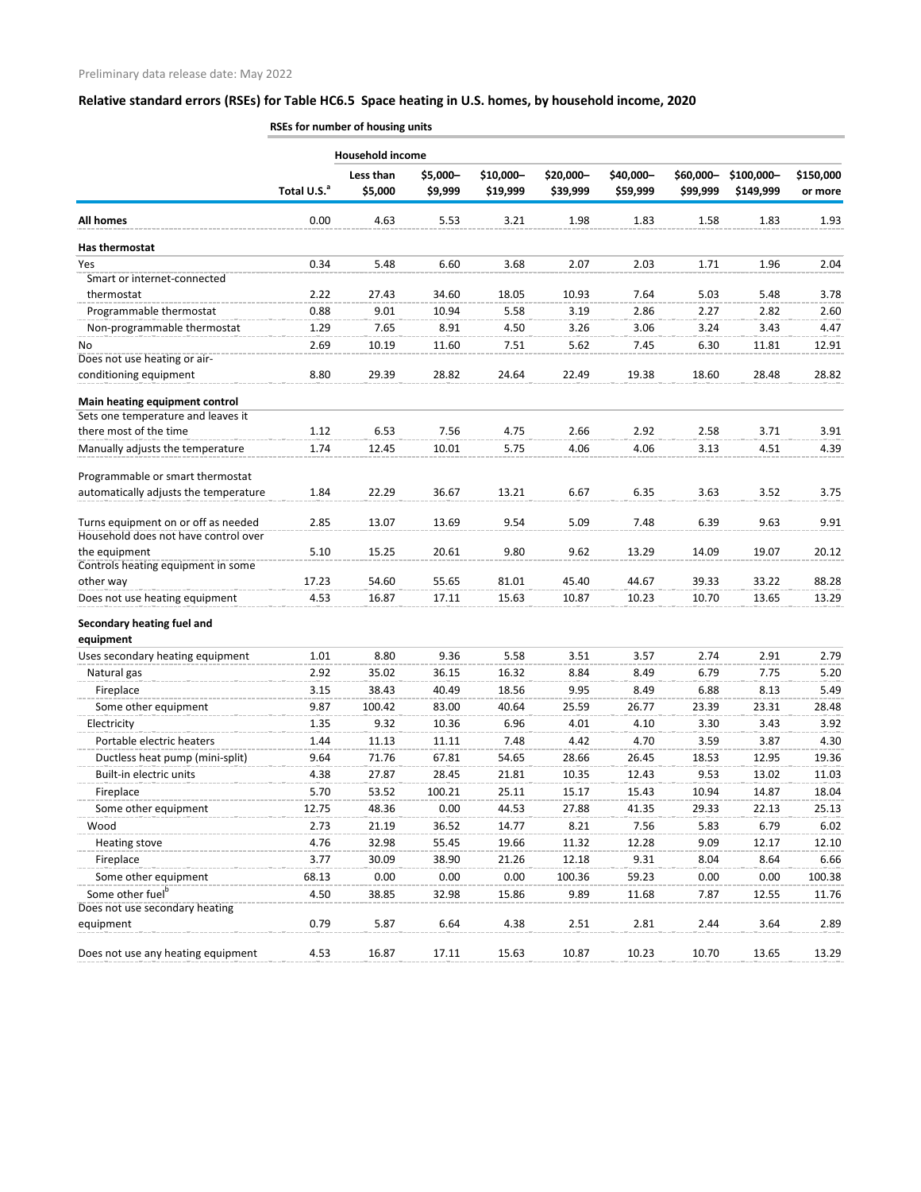|                                       | RSEs for number of housing units |                         |                     |                       |                       |                       |                       |                         |                      |
|---------------------------------------|----------------------------------|-------------------------|---------------------|-----------------------|-----------------------|-----------------------|-----------------------|-------------------------|----------------------|
|                                       |                                  | <b>Household income</b> |                     |                       |                       |                       |                       |                         |                      |
|                                       | Total U.S. <sup>a</sup>          | Less than<br>\$5,000    | \$5,000-<br>\$9,999 | \$10,000-<br>\$19,999 | \$20,000-<br>\$39,999 | \$40,000-<br>\$59,999 | \$60,000-<br>\$99,999 | \$100,000-<br>\$149,999 | \$150,000<br>or more |
| <b>All homes</b>                      | 0.00                             | 4.63                    | 5.53                | 3.21                  | 1.98                  | 1.83                  | 1.58                  | 1.83                    | 1.93                 |
| Has thermostat                        |                                  |                         |                     |                       |                       |                       |                       |                         |                      |
| Yes                                   | 0.34                             | 5.48                    | 6.60                | 3.68                  | 2.07                  | 2.03                  | 1.71                  | 1.96                    | 2.04                 |
| Smart or internet-connected           |                                  |                         |                     |                       |                       |                       |                       |                         |                      |
| thermostat                            | 2.22                             | 27.43                   | 34.60               | 18.05                 | 10.93                 | 7.64                  | 5.03                  | 5.48                    | 3.78                 |
| Programmable thermostat               | 0.88                             | 9.01                    | 10.94               | 5.58                  | 3.19                  | 2.86                  | 2.27                  | 2.82                    | 2.60                 |
| Non-programmable thermostat           | 1.29                             | 7.65                    | 8.91                | 4.50                  | 3.26                  | 3.06                  | 3.24                  | 3.43                    | 4.47                 |
| No                                    | 2.69                             | 10.19                   | 11.60               | 7.51                  | 5.62                  | 7.45                  | 6.30                  | 11.81                   | 12.91                |
| Does not use heating or air-          |                                  |                         |                     |                       |                       |                       |                       |                         |                      |
| conditioning equipment                | 8.80                             | 29.39                   | 28.82               | 24.64                 | 22.49                 | 19.38                 | 18.60                 | 28.48                   | 28.82                |
| Main heating equipment control        |                                  |                         |                     |                       |                       |                       |                       |                         |                      |
| Sets one temperature and leaves it    |                                  |                         |                     |                       |                       |                       |                       |                         |                      |
| there most of the time                | 1.12                             | 6.53                    | 7.56                | 4.75                  | 2.66                  | 2.92                  | 2.58                  | 3.71                    | 3.91                 |
| Manually adjusts the temperature      | 1.74                             | 12.45                   | 10.01               | 5.75                  | 4.06                  | 4.06                  | 3.13                  | 4.51                    | 4.39                 |
| Programmable or smart thermostat      |                                  |                         |                     |                       |                       |                       |                       |                         |                      |
| automatically adjusts the temperature | 1.84                             | 22.29                   | 36.67               | 13.21                 | 6.67                  | 6.35                  | 3.63                  | 3.52                    | 3.75                 |
| Turns equipment on or off as needed   | 2.85                             | 13.07                   | 13.69               | 9.54                  | 5.09                  | 7.48                  | 6.39                  | 9.63                    | 9.91                 |
| Household does not have control over  |                                  |                         |                     |                       |                       |                       |                       |                         |                      |
| the equipment                         | 5.10                             | 15.25                   | 20.61               | 9.80                  | 9.62                  | 13.29                 | 14.09                 | 19.07                   | 20.12                |
| Controls heating equipment in some    |                                  |                         |                     |                       |                       |                       |                       |                         |                      |
| other way                             | 17.23                            | 54.60                   | 55.65               | 81.01                 | 45.40                 | 44.67                 | 39.33                 | 33.22                   | 88.28                |
| Does not use heating equipment        | 4.53                             | 16.87                   | 17.11               | 15.63                 | 10.87                 | 10.23                 | 10.70                 | 13.65                   | 13.29                |
| Secondary heating fuel and            |                                  |                         |                     |                       |                       |                       |                       |                         |                      |
| equipment                             |                                  |                         |                     |                       |                       |                       |                       |                         |                      |
| Uses secondary heating equipment      | 1.01                             | 8.80                    | 9.36                | 5.58                  | 3.51                  | 3.57                  | 2.74                  | 2.91                    | 2.79                 |
| Natural gas                           | 2.92                             | 35.02                   | 36.15               | 16.32                 | 8.84                  | 8.49                  | 6.79                  | 7.75                    | 5.20                 |
| Fireplace                             | 3.15                             | 38.43                   | 40.49               | 18.56                 | 9.95                  | 8.49                  | 6.88                  | 8.13                    | 5.49                 |
| Some other equipment                  | 9.87                             | 100.42                  | 83.00               | 40.64                 | 25.59                 | 26.77                 | 23.39                 | 23.31                   | 28.48                |
| Electricity                           | 1.35                             | 9.32                    | 10.36               | 6.96                  | 4.01                  | 4.10                  | 3.30                  | 3.43                    | 3.92                 |
| Portable electric heaters             | 1.44                             | 11.13                   | 11.11               | 7.48                  | 4.42                  | 4.70                  | 3.59                  | 3.87                    | 4.30                 |
| Ductless heat pump (mini-split)       | 9.64                             | 71.76                   | 67.81               | 54.65                 | 28.66                 | 26.45                 | 18.53                 | 12.95                   | 19.36                |
| Built-in electric units               | 4.38                             | 27.87                   | 28.45               | 21.81                 | 10.35                 | 12.43                 | 9.53                  | 13.02                   | 11.03                |
| Fireplace                             | 5.70                             | 53.52                   | 100.21              | 25.11                 | 15.17                 | 15.43                 | 10.94                 | 14.87                   | 18.04                |
| Some other equipment                  | 12.75                            | 48.36                   | 0.00                | 44.53                 | 27.88                 | 41.35                 | 29.33                 | 22.13                   | 25.13                |
| Wood                                  | 2.73                             | 21.19                   | 36.52               | 14.77                 | 8.21                  | 7.56                  | 5.83                  | 6.79                    | 6.02                 |
| Heating stove                         | 4.76                             | 32.98                   | 55.45               | 19.66                 | 11.32                 | 12.28                 | 9.09                  | 12.17                   | 12.10                |
| Fireplace                             | 3.77                             | 30.09                   | 38.90               | 21.26                 | 12.18                 | 9.31                  | 8.04                  | 8.64                    | 6.66                 |
| Some other equipment                  | 68.13                            | 0.00                    | 0.00                | 0.00                  | 100.36                | 59.23                 | 0.00                  | 0.00                    | 100.38               |
| Some other fuel <sup>b</sup>          | 4.50                             | 38.85                   | 32.98               | 15.86                 | 9.89                  | 11.68                 | 7.87                  | 12.55                   | 11.76                |
| Does not use secondary heating        |                                  |                         |                     |                       |                       |                       |                       |                         |                      |
| equipment                             | 0.79                             | 5.87                    | 6.64                | 4.38                  | 2.51                  | 2.81                  | 2.44                  | 3.64                    | 2.89                 |
| Does not use any heating equipment    | 4.53                             | 16.87                   | 17.11               | 15.63                 | 10.87                 | 10.23                 | 10.70                 | 13.65                   | 13.29                |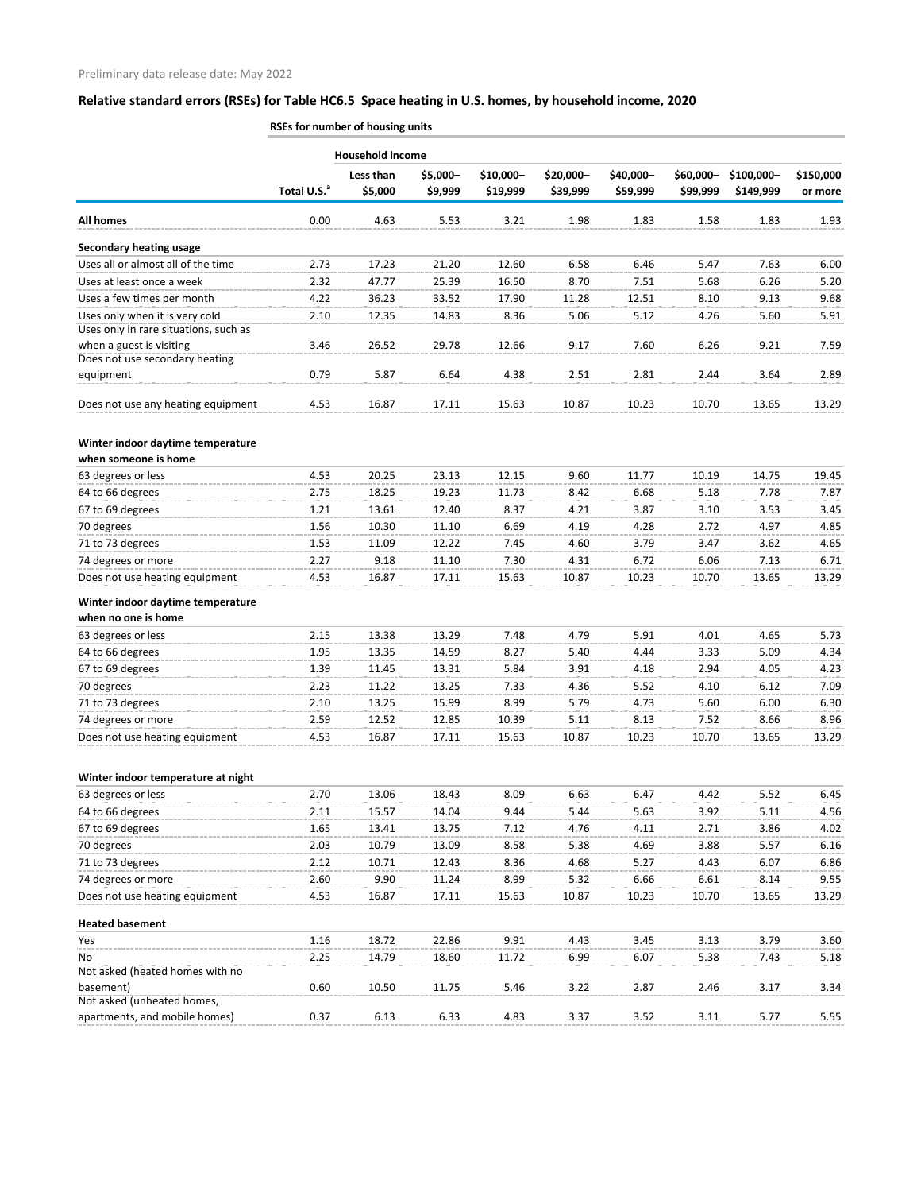|                                                             | RSEs for number of housing units |                         |                     |                       |                       |                       |                       |                         |                      |
|-------------------------------------------------------------|----------------------------------|-------------------------|---------------------|-----------------------|-----------------------|-----------------------|-----------------------|-------------------------|----------------------|
|                                                             |                                  | <b>Household income</b> |                     |                       |                       |                       |                       |                         |                      |
|                                                             | Total U.S. <sup>a</sup>          | Less than<br>\$5,000    | \$5,000-<br>\$9,999 | \$10,000-<br>\$19,999 | \$20,000-<br>\$39,999 | \$40,000-<br>\$59,999 | \$60,000-<br>\$99,999 | \$100,000-<br>\$149,999 | \$150,000<br>or more |
|                                                             |                                  |                         |                     |                       |                       |                       |                       |                         |                      |
| <b>All homes</b>                                            | 0.00                             | 4.63                    | 5.53                | 3.21                  | 1.98                  | 1.83                  | 1.58                  | 1.83                    | 1.93                 |
| <b>Secondary heating usage</b>                              |                                  |                         |                     |                       |                       |                       |                       |                         |                      |
| Uses all or almost all of the time                          | 2.73                             | 17.23                   | 21.20               | 12.60                 | 6.58                  | 6.46                  | 5.47                  | 7.63                    | 6.00                 |
| Uses at least once a week                                   | 2.32                             | 47.77                   | 25.39               | 16.50                 | 8.70                  | 7.51                  | 5.68                  | 6.26                    | 5.20                 |
| Uses a few times per month                                  | 4.22                             | 36.23                   | 33.52               | 17.90                 | 11.28                 | 12.51                 | 8.10                  | 9.13                    | 9.68                 |
| Uses only when it is very cold                              | 2.10                             | 12.35                   | 14.83               | 8.36                  | 5.06                  | 5.12                  | 4.26                  | 5.60                    | 5.91                 |
| Uses only in rare situations, such as                       |                                  |                         |                     |                       |                       |                       |                       |                         |                      |
| when a guest is visiting                                    | 3.46                             | 26.52                   | 29.78               | 12.66                 | 9.17                  | 7.60                  | 6.26                  | 9.21                    | 7.59                 |
| Does not use secondary heating<br>equipment                 | 0.79                             | 5.87                    | 6.64                | 4.38                  | 2.51                  | 2.81                  | 2.44                  | 3.64                    | 2.89                 |
|                                                             |                                  |                         |                     |                       |                       |                       |                       |                         |                      |
| Does not use any heating equipment                          | 4.53                             | 16.87                   | 17.11               | 15.63                 | 10.87                 | 10.23                 | 10.70                 | 13.65                   | 13.29                |
| Winter indoor daytime temperature                           |                                  |                         |                     |                       |                       |                       |                       |                         |                      |
| when someone is home                                        |                                  |                         |                     |                       |                       |                       |                       |                         |                      |
| 63 degrees or less                                          | 4.53                             | 20.25                   | 23.13               | 12.15                 | 9.60                  | 11.77                 | 10.19                 | 14.75                   | 19.45                |
| 64 to 66 degrees                                            | 2.75                             | 18.25                   | 19.23               | 11.73                 | 8.42                  | 6.68                  | 5.18                  | 7.78                    | 7.87                 |
| 67 to 69 degrees                                            | 1.21                             | 13.61                   | 12.40               | 8.37                  | 4.21                  | 3.87                  | 3.10                  | 3.53                    | 3.45                 |
| 70 degrees                                                  | 1.56                             | 10.30                   | 11.10               | 6.69                  | 4.19                  | 4.28                  | 2.72                  | 4.97                    | 4.85                 |
| 71 to 73 degrees                                            | 1.53                             | 11.09                   | 12.22               | 7.45                  | 4.60                  | 3.79                  | 3.47                  | 3.62                    | 4.65                 |
| 74 degrees or more                                          | 2.27                             | 9.18                    | 11.10               | 7.30                  | 4.31                  | 6.72                  | 6.06                  | 7.13                    | 6.71                 |
| Does not use heating equipment                              | 4.53                             | 16.87                   | 17.11               | 15.63                 | 10.87                 | 10.23                 | 10.70                 | 13.65                   | 13.29                |
| Winter indoor daytime temperature                           |                                  |                         |                     |                       |                       |                       |                       |                         |                      |
| when no one is home                                         |                                  |                         |                     |                       |                       |                       |                       |                         |                      |
| 63 degrees or less                                          | 2.15                             | 13.38                   | 13.29               | 7.48                  | 4.79                  | 5.91                  | 4.01                  | 4.65                    | 5.73                 |
| 64 to 66 degrees                                            | 1.95                             | 13.35                   | 14.59               | 8.27                  | 5.40                  | 4.44                  | 3.33                  | 5.09                    | 4.34                 |
| 67 to 69 degrees                                            | 1.39                             | 11.45                   | 13.31               | 5.84                  | 3.91                  | 4.18                  | 2.94                  | 4.05                    | 4.23                 |
| 70 degrees                                                  | 2.23                             | 11.22                   | 13.25               | 7.33                  | 4.36                  | 5.52                  | 4.10                  | 6.12                    | 7.09                 |
| 71 to 73 degrees                                            | 2.10                             | 13.25                   | 15.99               | 8.99                  | 5.79                  | 4.73                  | 5.60                  | 6.00                    | 6.30                 |
| 74 degrees or more                                          | 2.59                             | 12.52                   | 12.85               | 10.39                 | 5.11                  | 8.13                  | 7.52                  | 8.66                    | 8.96                 |
| Does not use heating equipment                              | 4.53                             | 16.87                   | 17.11               | 15.63                 | 10.87                 | 10.23                 | 10.70                 | 13.65                   | 13.29                |
| Winter indoor temperature at night                          |                                  |                         |                     |                       |                       |                       |                       |                         |                      |
| 63 degrees or less                                          | 2.70                             | 13.06                   | 18.43               | 8.09                  | 6.63                  | 6.47                  | 4.42                  | 5.52                    | 6.45                 |
| 64 to 66 degrees                                            | 2.11                             | 15.57                   | 14.04               | 9.44                  | 5.44                  | 5.63                  | 3.92                  | 5.11                    | 4.56                 |
| 67 to 69 degrees                                            | 1.65                             | 13.41                   | 13.75               | 7.12                  | 4.76                  | 4.11                  | 2.71                  | 3.86                    | 4.02                 |
| 70 degrees                                                  | 2.03                             | 10.79                   | 13.09               | 8.58                  | 5.38                  | 4.69                  | 3.88                  | 5.57                    | 6.16                 |
| 71 to 73 degrees                                            | 2.12                             | 10.71                   | 12.43               | 8.36                  | 4.68                  | 5.27                  | 4.43                  | 6.07                    | 6.86                 |
| 74 degrees or more                                          | 2.60                             | 9.90                    | 11.24               | 8.99                  | 5.32                  | 6.66                  | 6.61                  | 8.14                    | 9.55                 |
| Does not use heating equipment                              | 4.53                             | 16.87                   | 17.11               | 15.63                 | 10.87                 | 10.23                 | 10.70                 | 13.65                   | 13.29                |
| <b>Heated basement</b>                                      |                                  |                         |                     |                       |                       |                       |                       |                         |                      |
| Yes                                                         | 1.16                             | 18.72                   | 22.86               | 9.91                  | 4.43                  | 3.45                  | 3.13                  | 3.79                    | 3.60                 |
| No                                                          | 2.25                             | 14.79                   | 18.60               | 11.72                 | 6.99                  | 6.07                  | 5.38                  | 7.43                    | 5.18                 |
| Not asked (heated homes with no<br>basement)                | 0.60                             | 10.50                   | 11.75               | 5.46                  | 3.22                  | 2.87                  | 2.46                  | 3.17                    | 3.34                 |
| Not asked (unheated homes,<br>apartments, and mobile homes) | 0.37                             | 6.13                    | 6.33                | 4.83                  | 3.37                  | 3.52                  | 3.11                  | 5.77                    | 5.55                 |
|                                                             |                                  |                         |                     |                       |                       |                       |                       |                         |                      |